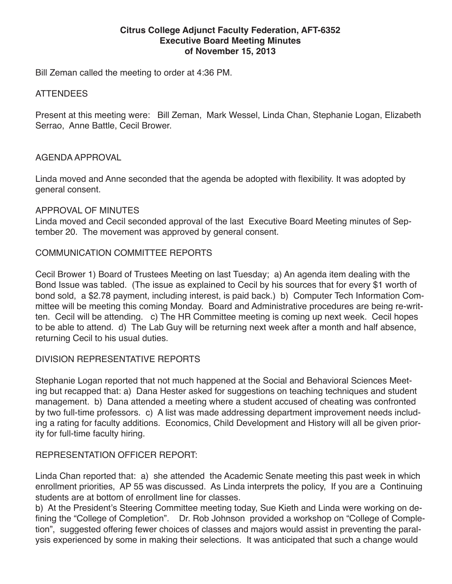#### **Citrus College Adjunct Faculty Federation, AFT-6352 Executive Board Meeting Minutes of November 15, 2013**

Bill Zeman called the meeting to order at 4:36 PM.

#### ATTENDEES

Present at this meeting were: Bill Zeman, Mark Wessel, Linda Chan, Stephanie Logan, Elizabeth Serrao, Anne Battle, Cecil Brower.

### AGENDA APPROVAL

Linda moved and Anne seconded that the agenda be adopted with flexibility. It was adopted by general consent.

### APPROVAL OF MINUTES

Linda moved and Cecil seconded approval of the last Executive Board Meeting minutes of September 20. The movement was approved by general consent.

## COMMUNICATION COMMITTEE REPORTS

Cecil Brower 1) Board of Trustees Meeting on last Tuesday; a) An agenda item dealing with the Bond Issue was tabled. (The issue as explained to Cecil by his sources that for every \$1 worth of bond sold, a \$2.78 payment, including interest, is paid back.) b) Computer Tech Information Committee will be meeting this coming Monday. Board and Administrative procedures are being re-written. Cecil will be attending. c) The HR Committee meeting is coming up next week. Cecil hopes to be able to attend. d) The Lab Guy will be returning next week after a month and half absence, returning Cecil to his usual duties.

## DIVISION REPRESENTATIVE REPORTS

Stephanie Logan reported that not much happened at the Social and Behavioral Sciences Meeting but recapped that: a) Dana Hester asked for suggestions on teaching techniques and student management. b) Dana attended a meeting where a student accused of cheating was confronted by two full-time professors. c) A list was made addressing department improvement needs including a rating for faculty additions. Economics, Child Development and History will all be given priority for full-time faculty hiring.

#### REPRESENTATION OFFICER REPORT:

Linda Chan reported that: a) she attended the Academic Senate meeting this past week in which enrollment priorities, AP 55 was discussed. As Linda interprets the policy, If you are a Continuing students are at bottom of enrollment line for classes.

b) At the President's Steering Committee meeting today, Sue Kieth and Linda were working on defining the "College of Completion". Dr. Rob Johnson provided a workshop on "College of Completion", suggested offering fewer choices of classes and majors would assist in preventing the paralysis experienced by some in making their selections. It was anticipated that such a change would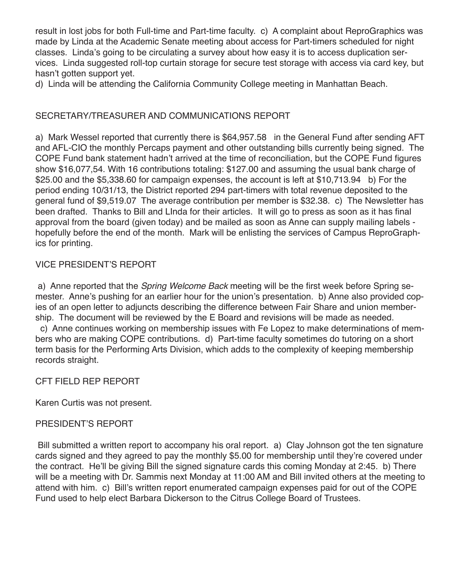result in lost jobs for both Full-time and Part-time faculty. c) A complaint about ReproGraphics was made by Linda at the Academic Senate meeting about access for Part-timers scheduled for night classes. Linda's going to be circulating a survey about how easy it is to access duplication services. Linda suggested roll-top curtain storage for secure test storage with access via card key, but hasn't gotten support yet.

d) Linda will be attending the California Community College meeting in Manhattan Beach.

# SECRETARY/TREASURER AND COMMUNICATIONS REPORT

a) Mark Wessel reported that currently there is \$64,957.58 in the General Fund after sending AFT and AFL-CIO the monthly Percaps payment and other outstanding bills currently being signed. The COPE Fund bank statement hadn't arrived at the time of reconciliation, but the COPE Fund figures show \$16,077,54. With 16 contributions totaling: \$127.00 and assuming the usual bank charge of \$25.00 and the \$5,338.60 for campaign expenses, the account is left at \$10,713.94 b) For the period ending 10/31/13, the District reported 294 part-timers with total revenue deposited to the general fund of \$9,519.07 The average contribution per member is \$32.38. c) The Newsletter has been drafted. Thanks to Bill and LInda for their articles. It will go to press as soon as it has final approval from the board (given today) and be mailed as soon as Anne can supply mailing labels hopefully before the end of the month. Mark will be enlisting the services of Campus ReproGraphics for printing.

## VICE PRESIDENT'S REPORT

 a) Anne reported that the *Spring Welcome Back* meeting will be the first week before Spring semester. Anne's pushing for an earlier hour for the union's presentation. b) Anne also provided copies of an open letter to adjuncts describing the difference between Fair Share and union membership. The document will be reviewed by the E Board and revisions will be made as needed.

 c) Anne continues working on membership issues with Fe Lopez to make determinations of members who are making COPE contributions. d) Part-time faculty sometimes do tutoring on a short term basis for the Performing Arts Division, which adds to the complexity of keeping membership records straight.

## CFT FIELD REP REPORT

Karen Curtis was not present.

## PRESIDENT'S REPORT

 Bill submitted a written report to accompany his oral report. a) Clay Johnson got the ten signature cards signed and they agreed to pay the monthly \$5.00 for membership until they're covered under the contract. He'll be giving Bill the signed signature cards this coming Monday at 2:45. b) There will be a meeting with Dr. Sammis next Monday at 11:00 AM and Bill invited others at the meeting to attend with him. c) Bill's written report enumerated campaign expenses paid for out of the COPE Fund used to help elect Barbara Dickerson to the Citrus College Board of Trustees.